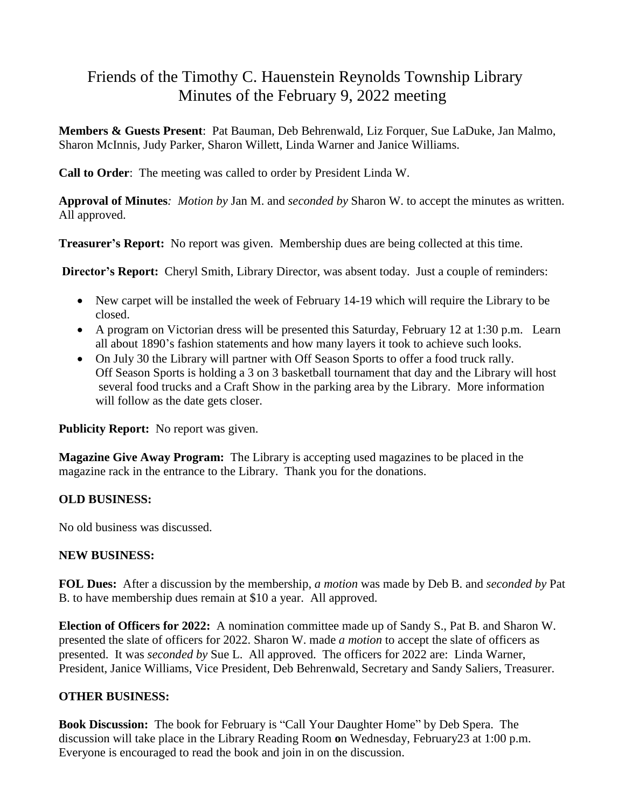## Friends of the Timothy C. Hauenstein Reynolds Township Library Minutes of the February 9, 2022 meeting

**Members & Guests Present**: Pat Bauman, Deb Behrenwald, Liz Forquer, Sue LaDuke, Jan Malmo, Sharon McInnis, Judy Parker, Sharon Willett, Linda Warner and Janice Williams.

**Call to Order**: The meeting was called to order by President Linda W.

**Approval of Minutes***: Motion by* Jan M. and *seconded by* Sharon W. to accept the minutes as written. All approved.

**Treasurer's Report:** No report was given. Membership dues are being collected at this time.

**Director's Report:** Cheryl Smith, Library Director, was absent today. Just a couple of reminders:

- New carpet will be installed the week of February 14-19 which will require the Library to be closed.
- A program on Victorian dress will be presented this Saturday, February 12 at 1:30 p.m. Learn all about 1890's fashion statements and how many layers it took to achieve such looks.
- On July 30 the Library will partner with Off Season Sports to offer a food truck rally. Off Season Sports is holding a 3 on 3 basketball tournament that day and the Library will host several food trucks and a Craft Show in the parking area by the Library. More information will follow as the date gets closer.

**Publicity Report:** No report was given.

**Magazine Give Away Program:** The Library is accepting used magazines to be placed in the magazine rack in the entrance to the Library. Thank you for the donations.

## **OLD BUSINESS:**

No old business was discussed.

## **NEW BUSINESS:**

**FOL Dues:** After a discussion by the membership, *a motion* was made by Deb B. and *seconded by* Pat B. to have membership dues remain at \$10 a year. All approved.

**Election of Officers for 2022:** A nomination committee made up of Sandy S., Pat B. and Sharon W. presented the slate of officers for 2022. Sharon W. made *a motion* to accept the slate of officers as presented. It was *seconded by* Sue L. All approved. The officers for 2022 are: Linda Warner, President, Janice Williams, Vice President, Deb Behrenwald, Secretary and Sandy Saliers, Treasurer.

## **OTHER BUSINESS:**

**Book Discussion:** The book for February is "Call Your Daughter Home" by Deb Spera. The discussion will take place in the Library Reading Room **o**n Wednesday, February23 at 1:00 p.m. Everyone is encouraged to read the book and join in on the discussion.